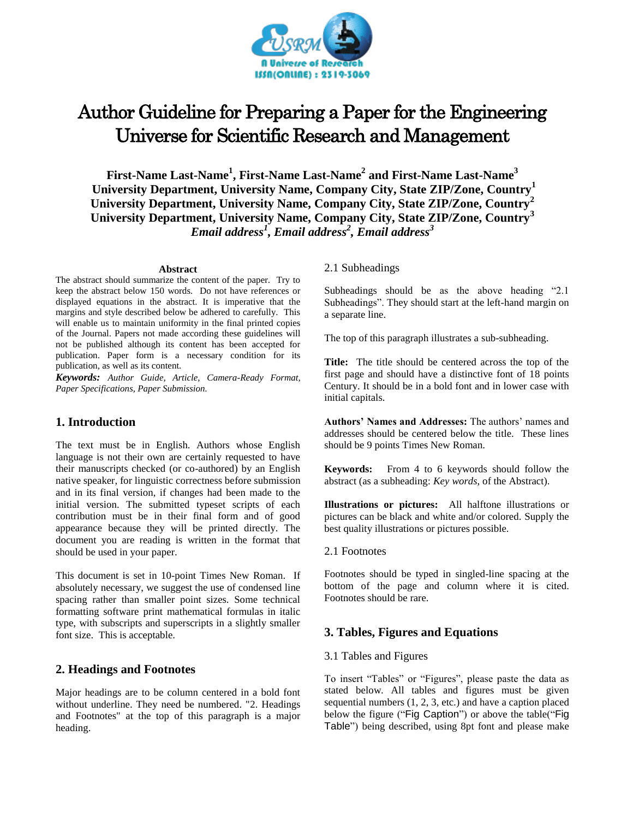

# Author Guideline for Preparing a Paper for the Engineering Universe for Scientific Research and Management

**First-Name Last-Name<sup>1</sup> , First-Name Last-Name<sup>2</sup> and First-Name Last-Name<sup>3</sup> University Department, University Name, Company City, State ZIP/Zone, Country<sup>1</sup> University Department, University Name, Company City, State ZIP/Zone, Country<sup>2</sup> University Department, University Name, Company City, State ZIP/Zone, Country<sup>3</sup>** *Email address<sup>1</sup> , Email address<sup>2</sup> , Email address<sup>3</sup>*

#### **Abstract**

The abstract should summarize the content of the paper. Try to keep the abstract below 150 words. Do not have references or displayed equations in the abstract. It is imperative that the margins and style described below be adhered to carefully. This will enable us to maintain uniformity in the final printed copies of the Journal. Papers not made according these guidelines will not be published although its content has been accepted for publication. Paper form is a necessary condition for its publication, as well as its content.

*Keywords: Author Guide, Article, Camera-Ready Format, Paper Specifications, Paper Submission.*

# **1. Introduction**

The text must be in English. Authors whose English language is not their own are certainly requested to have their manuscripts checked (or co-authored) by an English native speaker, for linguistic correctness before submission and in its final version, if changes had been made to the initial version. The submitted typeset scripts of each contribution must be in their final form and of good appearance because they will be printed directly. The document you are reading is written in the format that should be used in your paper.

This document is set in 10-point Times New Roman. If absolutely necessary, we suggest the use of condensed line spacing rather than smaller point sizes. Some technical formatting software print mathematical formulas in italic type, with subscripts and superscripts in a slightly smaller font size. This is acceptable.

# **2. Headings and Footnotes**

Major headings are to be column centered in a bold font without underline. They need be numbered. "2. Headings and Footnotes" at the top of this paragraph is a major heading.

## 2.1 Subheadings

Subheadings should be as the above heading "2.1 Subheadings". They should start at the left-hand margin on a separate line.

The top of this paragraph illustrates a sub-subheading.

**Title:** The title should be centered across the top of the first page and should have a distinctive font of 18 points Century. It should be in a bold font and in lower case with initial capitals.

**Authors' Names and Addresses:** The authors' names and addresses should be centered below the title. These lines should be 9 points Times New Roman.

**Keywords:** From 4 to 6 keywords should follow the abstract (as a subheading: *Key words*, of the Abstract).

**Illustrations or pictures:** All halftone illustrations or pictures can be black and white and/or colored. Supply the best quality illustrations or pictures possible.

## 2.1 Footnotes

Footnotes should be typed in singled-line spacing at the bottom of the page and column where it is cited. Footnotes should be rare.

# **3. Tables, Figures and Equations**

#### 3.1 Tables and Figures

To insert "Tables" or "Figures", please paste the data as stated below. All tables and figures must be given sequential numbers (1, 2, 3, etc.) and have a caption placed below the figure ("Fig Caption") or above the table("Fig Table") being described, using 8pt font and please make